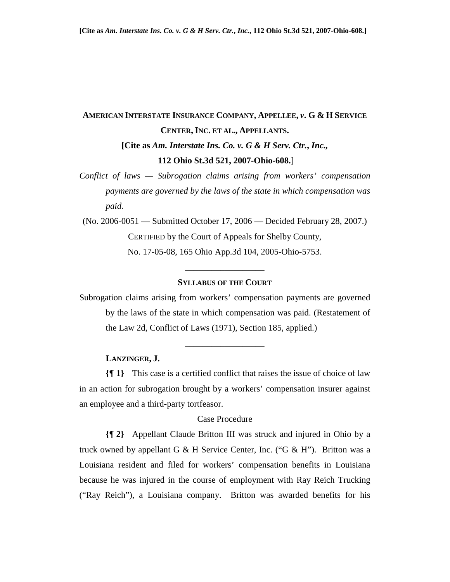# **AMERICAN INTERSTATE INSURANCE COMPANY, APPELLEE,** *v***. G & H SERVICE CENTER, INC. ET AL., APPELLANTS. [Cite as** *Am. Interstate Ins. Co. v. G & H Serv. Ctr.***,** *Inc.,*  **112 Ohio St.3d 521, 2007-Ohio-608.**]

*Conflict of laws — Subrogation claims arising from workers' compensation payments are governed by the laws of the state in which compensation was paid.* 

(No. 2006-0051 — Submitted October 17, 2006 — Decided February 28, 2007.) CERTIFIED by the Court of Appeals for Shelby County, No. 17-05-08, 165 Ohio App.3d 104, 2005-Ohio-5753.

# **SYLLABUS OF THE COURT**

\_\_\_\_\_\_\_\_\_\_\_\_\_\_\_\_\_\_

Subrogation claims arising from workers' compensation payments are governed by the laws of the state in which compensation was paid. (Restatement of the Law 2d, Conflict of Laws (1971), Section 185, applied.)

\_\_\_\_\_\_\_\_\_\_\_\_\_\_\_\_\_\_

#### **LANZINGER, J.**

**{¶ 1}** This case is a certified conflict that raises the issue of choice of law in an action for subrogation brought by a workers' compensation insurer against an employee and a third-party tortfeasor.

#### Case Procedure

**{¶ 2}** Appellant Claude Britton III was struck and injured in Ohio by a truck owned by appellant G & H Service Center, Inc. ("G & H"). Britton was a Louisiana resident and filed for workers' compensation benefits in Louisiana because he was injured in the course of employment with Ray Reich Trucking ("Ray Reich"), a Louisiana company. Britton was awarded benefits for his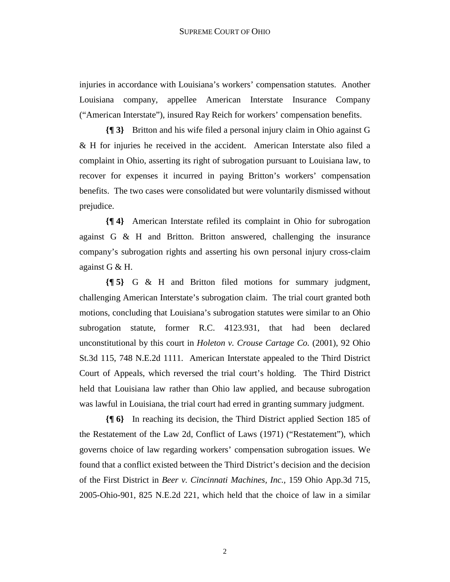injuries in accordance with Louisiana's workers' compensation statutes. Another Louisiana company, appellee American Interstate Insurance Company ("American Interstate"), insured Ray Reich for workers' compensation benefits.

**{¶ 3}** Britton and his wife filed a personal injury claim in Ohio against G & H for injuries he received in the accident. American Interstate also filed a complaint in Ohio, asserting its right of subrogation pursuant to Louisiana law, to recover for expenses it incurred in paying Britton's workers' compensation benefits. The two cases were consolidated but were voluntarily dismissed without prejudice.

**{¶ 4}** American Interstate refiled its complaint in Ohio for subrogation against G & H and Britton. Britton answered, challenging the insurance company's subrogation rights and asserting his own personal injury cross-claim against G & H.

**{¶ 5}** G & H and Britton filed motions for summary judgment, challenging American Interstate's subrogation claim. The trial court granted both motions, concluding that Louisiana's subrogation statutes were similar to an Ohio subrogation statute, former R.C. 4123.931, that had been declared unconstitutional by this court in *Holeton v. Crouse Cartage Co.* (2001), 92 Ohio St.3d 115, 748 N.E.2d 1111. American Interstate appealed to the Third District Court of Appeals, which reversed the trial court's holding. The Third District held that Louisiana law rather than Ohio law applied, and because subrogation was lawful in Louisiana, the trial court had erred in granting summary judgment.

**{¶ 6}** In reaching its decision, the Third District applied Section 185 of the Restatement of the Law 2d, Conflict of Laws (1971) ("Restatement"), which governs choice of law regarding workers' compensation subrogation issues. We found that a conflict existed between the Third District's decision and the decision of the First District in *Beer v. Cincinnati Machines, Inc.,* 159 Ohio App.3d 715, 2005-Ohio-901, 825 N.E.2d 221, which held that the choice of law in a similar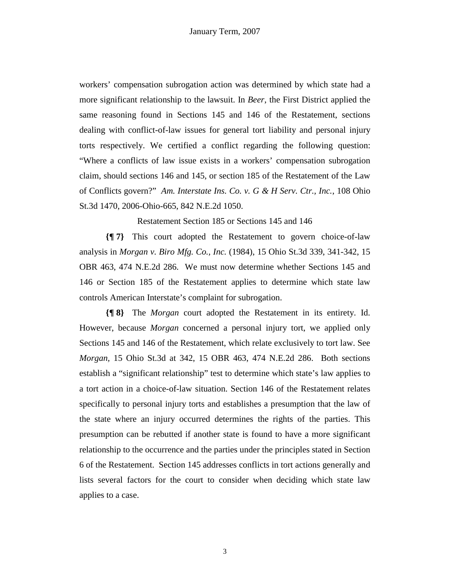workers' compensation subrogation action was determined by which state had a more significant relationship to the lawsuit. In *Beer*, the First District applied the same reasoning found in Sections 145 and 146 of the Restatement, sections dealing with conflict-of-law issues for general tort liability and personal injury torts respectively. We certified a conflict regarding the following question: "Where a conflicts of law issue exists in a workers' compensation subrogation claim, should sections 146 and 145, or section 185 of the Restatement of the Law of Conflicts govern?" *Am. Interstate Ins. Co. v. G & H Serv. Ctr., Inc.*, 108 Ohio St.3d 1470, 2006-Ohio-665, 842 N.E.2d 1050.

Restatement Section 185 or Sections 145 and 146

**{¶ 7}** This court adopted the Restatement to govern choice-of-law analysis in *Morgan v. Biro Mfg. Co., Inc.* (1984), 15 Ohio St.3d 339, 341-342, 15 OBR 463, 474 N.E.2d 286. We must now determine whether Sections 145 and 146 or Section 185 of the Restatement applies to determine which state law controls American Interstate's complaint for subrogation.

**{¶ 8}** The *Morgan* court adopted the Restatement in its entirety. Id. However, because *Morgan* concerned a personal injury tort, we applied only Sections 145 and 146 of the Restatement, which relate exclusively to tort law. See *Morgan,* 15 Ohio St.3d at 342, 15 OBR 463, 474 N.E.2d 286. Both sections establish a "significant relationship" test to determine which state's law applies to a tort action in a choice-of-law situation. Section 146 of the Restatement relates specifically to personal injury torts and establishes a presumption that the law of the state where an injury occurred determines the rights of the parties. This presumption can be rebutted if another state is found to have a more significant relationship to the occurrence and the parties under the principles stated in Section 6 of the Restatement. Section 145 addresses conflicts in tort actions generally and lists several factors for the court to consider when deciding which state law applies to a case.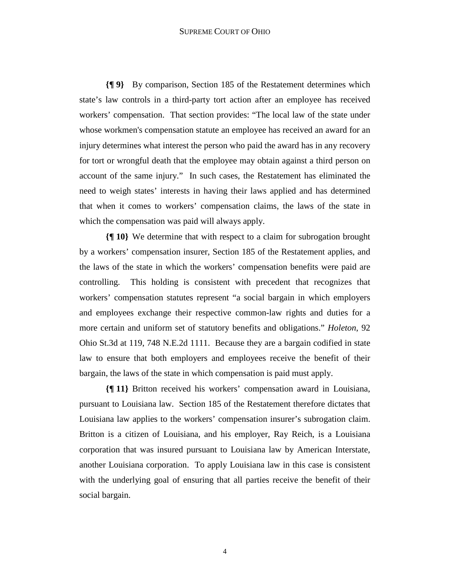### SUPREME COURT OF OHIO

**{¶ 9}** By comparison, Section 185 of the Restatement determines which state's law controls in a third-party tort action after an employee has received workers' compensation. That section provides: "The local law of the state under whose workmen's compensation statute an employee has received an award for an injury determines what interest the person who paid the award has in any recovery for tort or wrongful death that the employee may obtain against a third person on account of the same injury." In such cases, the Restatement has eliminated the need to weigh states' interests in having their laws applied and has determined that when it comes to workers' compensation claims, the laws of the state in which the compensation was paid will always apply.

**{¶ 10}** We determine that with respect to a claim for subrogation brought by a workers' compensation insurer, Section 185 of the Restatement applies, and the laws of the state in which the workers' compensation benefits were paid are controlling. This holding is consistent with precedent that recognizes that workers' compensation statutes represent "a social bargain in which employers and employees exchange their respective common-law rights and duties for a more certain and uniform set of statutory benefits and obligations." *Holeton*, 92 Ohio St.3d at 119, 748 N.E.2d 1111. Because they are a bargain codified in state law to ensure that both employers and employees receive the benefit of their bargain, the laws of the state in which compensation is paid must apply.

**{¶ 11}** Britton received his workers' compensation award in Louisiana, pursuant to Louisiana law. Section 185 of the Restatement therefore dictates that Louisiana law applies to the workers' compensation insurer's subrogation claim. Britton is a citizen of Louisiana, and his employer, Ray Reich, is a Louisiana corporation that was insured pursuant to Louisiana law by American Interstate, another Louisiana corporation. To apply Louisiana law in this case is consistent with the underlying goal of ensuring that all parties receive the benefit of their social bargain.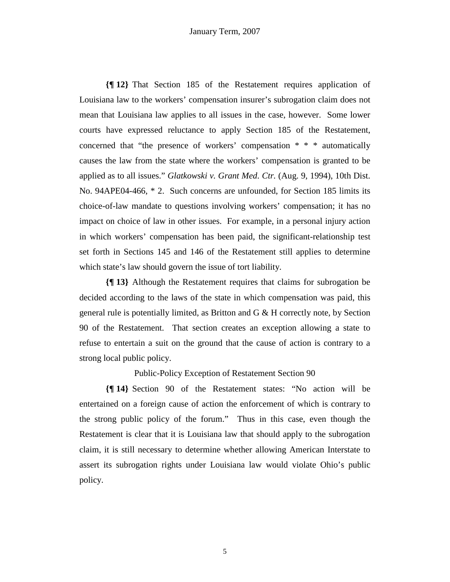**{¶ 12}** That Section 185 of the Restatement requires application of Louisiana law to the workers' compensation insurer's subrogation claim does not mean that Louisiana law applies to all issues in the case, however. Some lower courts have expressed reluctance to apply Section 185 of the Restatement, concerned that "the presence of workers' compensation \* \* \* automatically causes the law from the state where the workers' compensation is granted to be applied as to all issues." *Glatkowski v. Grant Med. Ctr.* (Aug. 9, 1994), 10th Dist. No. 94APE04-466, \* 2. Such concerns are unfounded, for Section 185 limits its choice-of-law mandate to questions involving workers' compensation; it has no impact on choice of law in other issues. For example, in a personal injury action in which workers' compensation has been paid, the significant-relationship test set forth in Sections 145 and 146 of the Restatement still applies to determine which state's law should govern the issue of tort liability.

**{¶ 13}** Although the Restatement requires that claims for subrogation be decided according to the laws of the state in which compensation was paid, this general rule is potentially limited, as Britton and G & H correctly note, by Section 90 of the Restatement. That section creates an exception allowing a state to refuse to entertain a suit on the ground that the cause of action is contrary to a strong local public policy.

Public-Policy Exception of Restatement Section 90

**{¶ 14}** Section 90 of the Restatement states: "No action will be entertained on a foreign cause of action the enforcement of which is contrary to the strong public policy of the forum." Thus in this case, even though the Restatement is clear that it is Louisiana law that should apply to the subrogation claim, it is still necessary to determine whether allowing American Interstate to assert its subrogation rights under Louisiana law would violate Ohio's public policy.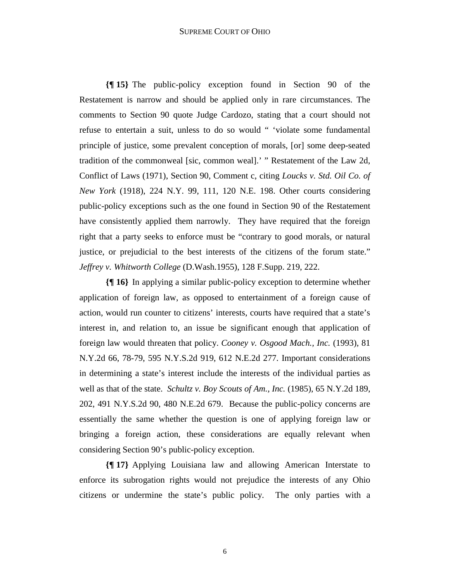# SUPREME COURT OF OHIO

**{¶ 15}** The public-policy exception found in Section 90 of the Restatement is narrow and should be applied only in rare circumstances. The comments to Section 90 quote Judge Cardozo, stating that a court should not refuse to entertain a suit, unless to do so would " 'violate some fundamental principle of justice, some prevalent conception of morals, [or] some deep-seated tradition of the commonweal [sic, common weal].' " Restatement of the Law 2d, Conflict of Laws (1971), Section 90, Comment c, citing *Loucks v. Std. Oil Co. of New York* (1918), 224 N.Y. 99, 111, 120 N.E. 198. Other courts considering public-policy exceptions such as the one found in Section 90 of the Restatement have consistently applied them narrowly. They have required that the foreign right that a party seeks to enforce must be "contrary to good morals, or natural justice, or prejudicial to the best interests of the citizens of the forum state." *Jeffrey v. Whitworth College* (D.Wash.1955), 128 F.Supp. 219, 222.

**{¶ 16}** In applying a similar public-policy exception to determine whether application of foreign law, as opposed to entertainment of a foreign cause of action, would run counter to citizens' interests, courts have required that a state's interest in, and relation to, an issue be significant enough that application of foreign law would threaten that policy. *Cooney v. Osgood Mach., Inc.* (1993), 81 N.Y.2d 66, 78-79, 595 N.Y.S.2d 919, 612 N.E.2d 277. Important considerations in determining a state's interest include the interests of the individual parties as well as that of the state. *Schultz v. Boy Scouts of Am., Inc.* (1985), 65 N.Y.2d 189, 202, 491 N.Y.S.2d 90, 480 N.E.2d 679. Because the public-policy concerns are essentially the same whether the question is one of applying foreign law or bringing a foreign action, these considerations are equally relevant when considering Section 90's public-policy exception.

**{¶ 17}** Applying Louisiana law and allowing American Interstate to enforce its subrogation rights would not prejudice the interests of any Ohio citizens or undermine the state's public policy. The only parties with a

6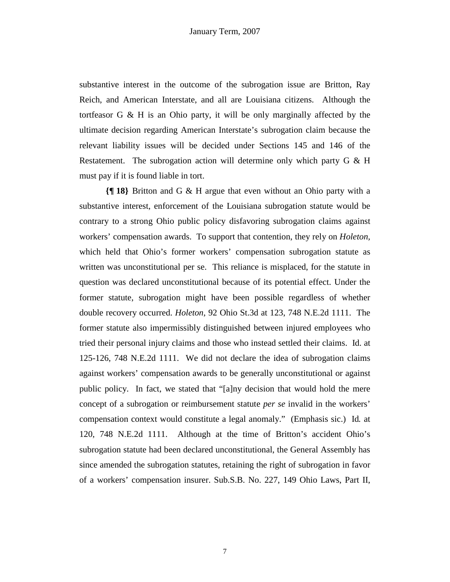substantive interest in the outcome of the subrogation issue are Britton, Ray Reich, and American Interstate, and all are Louisiana citizens. Although the tortfeasor G & H is an Ohio party, it will be only marginally affected by the ultimate decision regarding American Interstate's subrogation claim because the relevant liability issues will be decided under Sections 145 and 146 of the Restatement. The subrogation action will determine only which party G & H must pay if it is found liable in tort.

**{¶ 18}** Britton and G & H argue that even without an Ohio party with a substantive interest, enforcement of the Louisiana subrogation statute would be contrary to a strong Ohio public policy disfavoring subrogation claims against workers' compensation awards. To support that contention, they rely on *Holeton,*  which held that Ohio's former workers' compensation subrogation statute as written was unconstitutional per se. This reliance is misplaced, for the statute in question was declared unconstitutional because of its potential effect. Under the former statute, subrogation might have been possible regardless of whether double recovery occurred. *Holeton*, 92 Ohio St.3d at 123, 748 N.E.2d 1111. The former statute also impermissibly distinguished between injured employees who tried their personal injury claims and those who instead settled their claims. Id. at 125-126, 748 N.E.2d 1111. We did not declare the idea of subrogation claims against workers' compensation awards to be generally unconstitutional or against public policy. In fact, we stated that "[a]ny decision that would hold the mere concept of a subrogation or reimbursement statute *per se* invalid in the workers' compensation context would constitute a legal anomaly." (Emphasis sic.) Id*.* at 120, 748 N.E.2d 1111. Although at the time of Britton's accident Ohio's subrogation statute had been declared unconstitutional, the General Assembly has since amended the subrogation statutes, retaining the right of subrogation in favor of a workers' compensation insurer. Sub.S.B. No. 227, 149 Ohio Laws, Part II,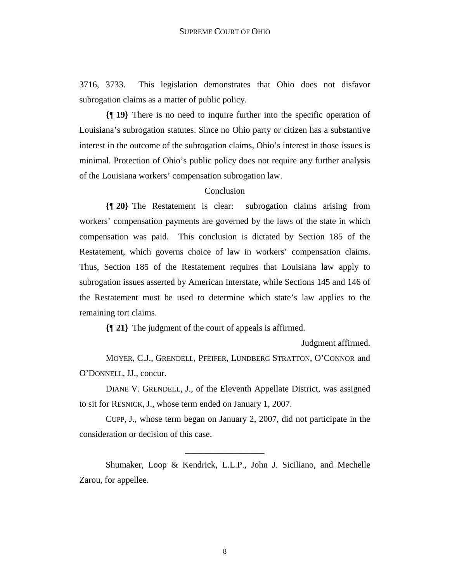3716, 3733. This legislation demonstrates that Ohio does not disfavor subrogation claims as a matter of public policy.

**{¶ 19}** There is no need to inquire further into the specific operation of Louisiana's subrogation statutes. Since no Ohio party or citizen has a substantive interest in the outcome of the subrogation claims, Ohio's interest in those issues is minimal. Protection of Ohio's public policy does not require any further analysis of the Louisiana workers' compensation subrogation law.

## Conclusion

**{¶ 20}** The Restatement is clear: subrogation claims arising from workers' compensation payments are governed by the laws of the state in which compensation was paid. This conclusion is dictated by Section 185 of the Restatement, which governs choice of law in workers' compensation claims. Thus, Section 185 of the Restatement requires that Louisiana law apply to subrogation issues asserted by American Interstate, while Sections 145 and 146 of the Restatement must be used to determine which state's law applies to the remaining tort claims.

**{¶ 21}** The judgment of the court of appeals is affirmed.

Judgment affirmed.

 MOYER, C.J., GRENDELL, PFEIFER, LUNDBERG STRATTON, O'CONNOR and O'DONNELL, JJ., concur.

 DIANE V. GRENDELL, J., of the Eleventh Appellate District, was assigned to sit for RESNICK, J., whose term ended on January 1, 2007.

 CUPP, J., whose term began on January 2, 2007, did not participate in the consideration or decision of this case.

\_\_\_\_\_\_\_\_\_\_\_\_\_\_\_\_\_\_

Shumaker, Loop & Kendrick, L.L.P., John J. Siciliano, and Mechelle Zarou, for appellee.